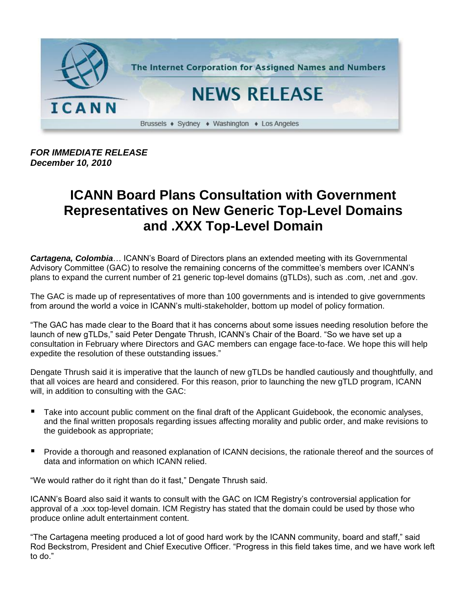

*FOR IMMEDIATE RELEASE December 10, 2010*

## **ICANN Board Plans Consultation with Government Representatives on New Generic Top-Level Domains and .XXX Top-Level Domain**

*Cartagena, Colombia*… ICANN's Board of Directors plans an extended meeting with its Governmental Advisory Committee (GAC) to resolve the remaining concerns of the committee's members over ICANN's plans to expand the current number of 21 generic top-level domains (gTLDs), such as .com, .net and .gov.

The GAC is made up of representatives of more than 100 governments and is intended to give governments from around the world a voice in ICANN's multi-stakeholder, bottom up model of policy formation.

"The GAC has made clear to the Board that it has concerns about some issues needing resolution before the launch of new gTLDs," said Peter Dengate Thrush, ICANN's Chair of the Board. "So we have set up a consultation in February where Directors and GAC members can engage face-to-face. We hope this will help expedite the resolution of these outstanding issues."

Dengate Thrush said it is imperative that the launch of new gTLDs be handled cautiously and thoughtfully, and that all voices are heard and considered. For this reason, prior to launching the new gTLD program, ICANN will, in addition to consulting with the GAC:

- Take into account public comment on the final draft of the Applicant Guidebook, the economic analyses, and the final written proposals regarding issues affecting morality and public order, and make revisions to the guidebook as appropriate;
- **Provide a thorough and reasoned explanation of ICANN decisions, the rationale thereof and the sources of** data and information on which ICANN relied.

"We would rather do it right than do it fast," Dengate Thrush said.

ICANN's Board also said it wants to consult with the GAC on ICM Registry's controversial application for approval of a .xxx top-level domain. ICM Registry has stated that the domain could be used by those who produce online adult entertainment content.

"The Cartagena meeting produced a lot of good hard work by the ICANN community, board and staff," said Rod Beckstrom, President and Chief Executive Officer. "Progress in this field takes time, and we have work left to do."